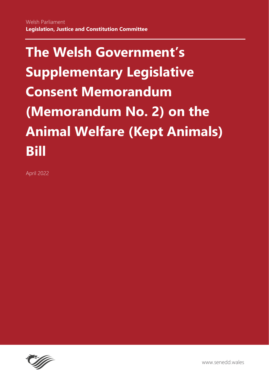April 2022

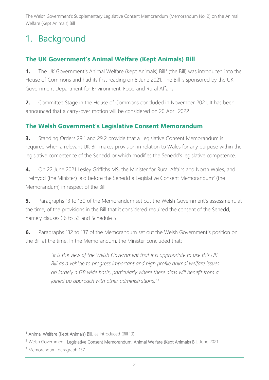# 1. Background

# **The UK Government's Animal Welfare (Kept Animals) Bill**

**1.** The UK Government's Animal Welfare (Kept Animals) Bill<sup>1</sup> (the Bill) was introduced into the House of Commons and had its first reading on 8 June 2021. The Bill is sponsored by the UK Government Department for Environment, Food and Rural Affairs.

**2.** Committee Stage in the House of Commons concluded in November 2021. It has been announced that a carry-over motion will be considered on 20 April 2022.

## **The Welsh Government's Legislative Consent Memorandum**

**3.** Standing Orders 29.1 and 29.2 provide that a Legislative Consent Memorandum is required when a relevant UK Bill makes provision in relation to Wales for any purpose within the legislative competence of the Senedd or which modifies the Senedd's legislative competence.

**4.** On 22 June 2021 Lesley Griffiths MS, the Minister for Rural Affairs and North Wales, and Trefnydd (the Minister) laid before the Senedd a Legislative Consent Memorandum<sup>2</sup> (the Memorandum) in respect of the Bill.

**5.** Paragraphs 13 to 130 of the Memorandum set out the Welsh Government's assessment, at the time, of the provisions in the Bill that it considered required the consent of the Senedd, namely clauses 26 to 53 and Schedule 5.

**6.** Paragraphs 132 to 137 of the Memorandum set out the Welsh Government's position on the Bill at the time. In the Memorandum, the Minister concluded that:

> *"It is the view of the Welsh Government that it is appropriate to use this UK Bill as a vehicle to progress important and high profile animal welfare issues on largely a GB wide basis, particularly where these aims will benefit from a joined up approach with other administrations."<sup>3</sup>*

<sup>&</sup>lt;sup>1</sup> [Animal Welfare \(Kept Animals\) Bill,](https://publications.parliament.uk/pa/bills/cbill/58-02/0013/21013.pdf) as introduced (Bill 13)

<sup>&</sup>lt;sup>2</sup> Welsh Government, [Legislative Consent Memorandum, Animal Welfare \(Kept Animals\) Bill,](https://senedd.wales/media/kl5pltvy/lcm-ld14388-e.pdf) June 2021

<sup>3</sup> Memorandum, paragraph 137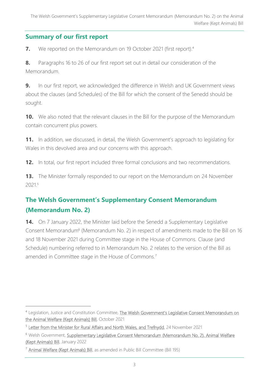# **Summary of our first report**

**7.** We reported on the Memorandum on 19 October 2021 (first report).<sup>4</sup>

**8.** Paragraphs 16 to 26 of our first report set out in detail our consideration of the Memorandum.

**9.** In our first report, we acknowledged the difference in Welsh and UK Government views about the clauses (and Schedules) of the Bill for which the consent of the Senedd should be sought.

**10.** We also noted that the relevant clauses in the Bill for the purpose of the Memorandum contain concurrent plus powers.

**11.** In addition, we discussed, in detail, the Welsh Government's approach to legislating for Wales in this devolved area and our concerns with this approach.

**12.** In total, our first report included three formal conclusions and two recommendations.

**13.** The Minister formally responded to our report on the Memorandum on 24 November 20215

# **The Welsh Government's Supplementary Consent Memorandum (Memorandum No. 2)**

**14.** On 7 January 2022, the Minister laid before the Senedd a Supplementary Legislative Consent Memorandum<sup>6</sup> (Memorandum No. 2) in respect of amendments made to the Bill on 16 and 18 November 2021 during Committee stage in the House of Commons. Clause (and Schedule) numbering referred to in Memorandum No. 2 relates to the version of the Bill as amended in Committee stage in the House of Commons.<sup>7</sup>

<sup>&</sup>lt;sup>4</sup> Legislation, Justice and Constitution Committee, [The Welsh Government's Legislative Consent Memorand](https://senedd.wales/media/q2uayagl/cr-ld14607-e.pdf)um on [the Animal Welfare \(Kept Animals\) Bill,](https://senedd.wales/media/q2uayagl/cr-ld14607-e.pdf) October 2021

<sup>&</sup>lt;sup>5</sup> [Letter from the Minister for Rural Affairs and North Wales, and Trefnydd,](https://business.senedd.wales/documents/s119981/LJC6-15-21%20-%20Paper%2012%20-%20Letter%20from%20the%20Minister%20for%20Rural%20Affairs%20and%20North%20Wales%20and%20Trefnydd%20.pdf) 24 November 2021

<sup>&</sup>lt;sup>6</sup> Welsh Government, Supplementary Legislative Consent Memorandum (Memorandum No. 2), Animal Welfare [\(Kept Animals\) Bill,](https://business.senedd.wales/documents/s123932/Supplementary%20Legislative%20Consent%20Memorandum%20Memorandum%20No.%202%20January%202022.pdf) January 2022

<sup>&</sup>lt;sup>7</sup> [Animal Welfare \(Kept Animals\) Bill,](https://publications.parliament.uk/pa/bills/cbill/58-02/0195/210195.pdf) as amended in Public Bill Committee (Bill 195)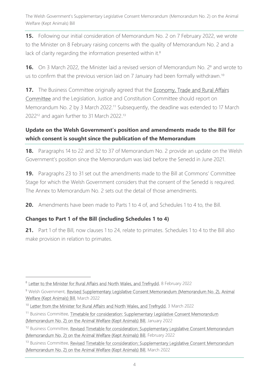**15.** Following our initial consideration of Memorandum No. 2 on 7 February 2022, we wrote to the Minister on 8 February raising concerns with the quality of Memorandum No. 2 and a lack of clarity regarding the information presented within it.<sup>8</sup>

**16.** On 3 March 2022, the Minister laid a revised version of Memorandum No. 2<sup>9</sup> and wrote to us to confirm that the previous version laid on 7 January had been formally withdrawn.<sup>10</sup>

**17.** The Business Committee originally agreed that the **Economy, Trade and Rural Affairs** [Committee](https://senedd.wales/committee/738) and the Legislation, Justice and Constitution Committee should report on Memorandum No. 2 by 3 March 2022.<sup>11</sup> Subsequently, the deadline was extended to 17 March 2022<sup>12</sup> and again further to 31 March 2022.<sup>13</sup>

## **Update on the Welsh Government's position and amendments made to the Bill for which consent is sought since the publication of the Memorandum**

**18.** Paragraphs 14 to 22 and 32 to 37 of Memorandum No. 2 provide an update on the Welsh Government's position since the Memorandum was laid before the Senedd in June 2021.

**19.** Paragraphs 23 to 31 set out the amendments made to the Bill at Commons' Committee Stage for which the Welsh Government considers that the consent of the Senedd is required. The Annex to Memorandum No. 2 sets out the detail of those amendments.

**20.** Amendments have been made to Parts 1 to 4 of, and Schedules 1 to 4 to, the Bill.

### **Changes to Part 1 of the Bill (including Schedules 1 to 4)**

**21.** Part 1 of the Bill, now clauses 1 to 24, relate to primates. Schedules 1 to 4 to the Bill also make provision in relation to primates.

<sup>&</sup>lt;sup>8</sup> [Letter to the Minister for Rural Affairs and North Wales, and Trefnydd,](https://business.senedd.wales/documents/s122798/Supplementary%20Legislative%20Consent%20Memorandum%20Memorandum%20No.2%20Animal%20Welfare%20Kept%20Animals%20Bill.pdf) 8 February 2022

<sup>&</sup>lt;sup>9</sup> Welsh Government, Revised Supplementary Legislative Consent Memorandum (Memorandum No. 2), Animal [Welfare \(Kept Animals\) Bill,](https://senedd.wales/media/gtnmfeii/slcm-ld14758-r-2-e.pdf) March 2022

<sup>&</sup>lt;sup>10</sup> [Letter from the Minister for Rural Affairs and North Wales, and Trefnydd,](https://business.senedd.wales/documents/s123428/LJC6-10-22%20-%20Paper%2014%20-%20Letter%20from%20the%20Minister%20for%20Rural%20Affairs%20and%20North%20Wales%20and%20Trefnydd%20.pdf) 3 March 2022

<sup>&</sup>lt;sup>11</sup> Business Committee, Timetable for consideration: Supplementary Legislative Consent Memorandum [\(Memorandum No. 2\) on the Animal Welfare \(Kept Animals\) Bill,](https://senedd.wales/media/knkibobj/cr-ld14844-e.pdf) January 2022

<sup>&</sup>lt;sup>12</sup> Business Committee, Revised Timetable for consideration: Supplementary Legislative Consent Memorandum [\(Memorandum No. 2\) on the Animal Welfare \(Kept Animals\) Bill,](https://senedd.wales/media/xudm5bvg/cr-ld14958-e.pdf) February 2022

<sup>13</sup> Business Committee, Revised Timetable for consideration: Supplementary Legislative Consent Memorandum [\(Memorandum No. 2\) on the Animal Welfare \(Kept Animals\) Bill,](https://senedd.wales/media/hxkj5idt/cr-ld15001-e.pdf) March 2022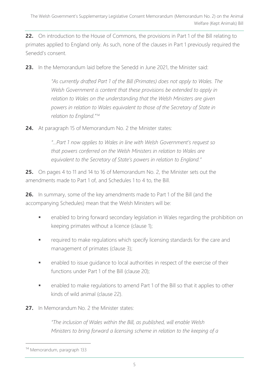**22.** On introduction to the House of Commons, the provisions in Part 1 of the Bill relating to primates applied to England only. As such, none of the clauses in Part 1 previously required the Senedd's consent.

**23.** In the Memorandum laid before the Senedd in June 2021, the Minister said:

*"As currently drafted Part 1 of the Bill (Primates) does not apply to Wales. The Welsh Government is content that these provisions be extended to apply in relation to Wales on the understanding that the Welsh Ministers are given powers in relation to Wales equivalent to those of the Secretary of State in relation to England."<sup>14</sup>*

**24.** At paragraph 15 of Memorandum No. 2 the Minister states:

*"…Part 1 now applies to Wales in line with Welsh Government's request so that powers conferred on the Welsh Ministers in relation to Wales are equivalent to the Secretary of State's powers in relation to England."*

**25.** On pages 4 to 11 and 14 to 16 of Memorandum No. 2, the Minister sets out the amendments made to Part 1 of, and Schedules 1 to 4 to, the Bill.

**26.** In summary, some of the key amendments made to Part 1 of the Bill (and the accompanying Schedules) mean that the Welsh Ministers will be:

- enabled to bring forward secondary legislation in Wales regarding the prohibition on keeping primates without a licence (clause 1);
- **EXED** required to make regulations which specify licensing standards for the care and management of primates (clause 3);
- **•** enabled to issue quidance to local authorities in respect of the exercise of their functions under Part 1 of the Bill (clause 20);
- enabled to make regulations to amend Part 1 of the Bill so that it applies to other kinds of wild animal (clause 22).
- **27.** In Memorandum No. 2 the Minister states:

*"The inclusion of Wales within the Bill, as published, will enable Welsh Ministers to bring forward a licensing scheme in relation to the keeping of a* 

<sup>14</sup> Memorandum, paragraph 133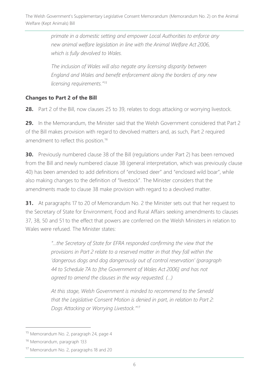*primate in a domestic setting and empower Local Authorities to enforce any new animal welfare legislation in line with the Animal Welfare Act 2006, which is fully devolved to Wales.* 

*The inclusion of Wales will also negate any licensing disparity between England and Wales and benefit enforcement along the borders of any new licensing requirements." 15*

## **Changes to Part 2 of the Bill**

**28.** Part 2 of the Bill, now clauses 25 to 39, relates to dogs attacking or worrying livestock.

**29.** In the Memorandum, the Minister said that the Welsh Government considered that Part 2 of the Bill makes provision with regard to devolved matters and, as such, Part 2 required amendment to reflect this position. 16

**30.** Previously numbered clause 38 of the Bill (regulations under Part 2) has been removed from the Bill and newly numbered clause 38 (general interpretation, which was previously clause 40) has been amended to add definitions of "enclosed deer" and "enclosed wild boar", while also making changes to the definition of "livestock". The Minister considers that the amendments made to clause 38 make provision with regard to a devolved matter.

**31.** At paragraphs 17 to 20 of Memorandum No. 2 the Minister sets out that her request to the Secretary of State for Environment, Food and Rural Affairs seeking amendments to clauses 37, 38, 50 and 51 to the effect that powers are conferred on the Welsh Ministers in relation to Wales were refused. The Minister states:

> *"…the Secretary of State for EFRA responded confirming the view that the provisions in Part 2 relate to a reserved matter in that they fall within the 'dangerous dogs and dog dangerously out of control reservation' (paragraph 44 to Schedule 7A to [the Government of Wales Act 2006] and has not agreed to amend the clauses in the way requested. (…)*

*At this stage, Welsh Government is minded to recommend to the Senedd that the Legislative Consent Motion is denied in part, in relation to Part 2: Dogs Attacking or Worrying Livestock." 17*

<sup>15</sup> Memorandum No. 2, paragraph 24, page 4

<sup>16</sup> Memorandum, paragraph 133

<sup>17</sup> Memorandum No. 2, paragraphs 18 and 20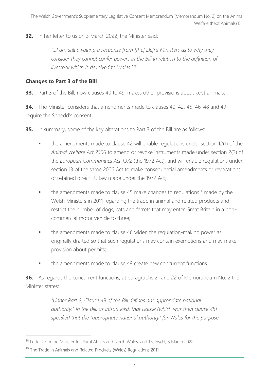**32.** In her letter to us on 3 March 2022, the Minister said:

*"...I am still awaiting a response from [the] Defra Ministers as to why they*" *consider they cannot confer powers in the Bill in relation to the definition of livestock which is devolved to Wales."<sup>18</sup>*

#### **Changes to Part 3 of the Bill**

**33.** Part 3 of the Bill, now clauses 40 to 49, makes other provisions about kept animals.

**34.** The Minister considers that amendments made to clauses 40, 42, 45, 46, 48 and 49 require the Senedd's consent.

**35.** In summary, some of the key alterations to Part 3 of the Bill are as follows:

- the amendments made to clause 42 will enable regulations under section 12(1) of the *Animal Welfare Act 2006* to amend or revoke instruments made under section 2(2) of the *European Communities Act 1972* (the 1972 Act), and will enable regulations under section 13 of the same 2006 Act to make consequential amendments or revocations of retained direct EU law made under the 1972 Act;
- the amendments made to clause 45 make changes to regulations<sup>19</sup> made by the Welsh Ministers in 2011 regarding the trade in animal and related products and restrict the number of dogs, cats and ferrets that may enter Great Britain in a noncommercial motor vehicle to three;
- the amendments made to clause 46 widen the regulation-making power as originally drafted so that such regulations may contain exemptions and may make provision about permits;
- the amendments made to clause 49 create new concurrent functions.

**36.** As regards the concurrent functions, at paragraphs 21 and 22 of Memorandum No. 2 the Minister states:

> *"Under Part 3, Clause 49 of the Bill defines an" appropriate national authority." In the Bill, as introduced, that clause (which was then clause 48) specified that the "appropriate national authority" for Wales for the purpose*

<sup>&</sup>lt;sup>18</sup> Letter from the Minister for Rural Affairs and North Wales, and Trefnydd, 3 March 2022

<sup>&</sup>lt;sup>19</sup> [The Trade in Animals and Related Products \(Wales\) Regulations 2011](https://www.legislation.gov.uk/wsi/2011/2379/contents/made)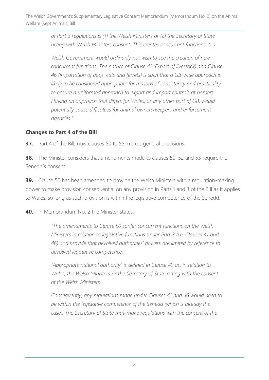> *of Part 3 regulations is (1) the Welsh Ministers or (2) the Secretary of State acting with Welsh Ministers consent. This creates concurrent functions. (…)*

*Welsh Government would ordinarily not wish to see the creation of new concurrent functions. The nature of Clause 41 (Export of livestock) and Clause 46 (Importation of dogs, cats and ferrets) is such that a GB-wide approach is likely to be considered appropriate for reasons of consistency and practicality to ensure a uniformed approach to export and import controls at borders. Having an approach that differs for Wales, or any other part of GB, would potentially cause difficulties for animal owners/keepers and enforcement agencies."*

#### **Changes to Part 4 of the Bill**

**37.** Part 4 of the Bill, now clauses 50 to 55, makes general provisions.

**38.** The Minister considers that amendments made to clauses 50, 52 and 53 require the Senedd's consent.

**39.** Clause 50 has been amended to provide the Welsh Ministers with a regulation-making power to make provision consequential on any provision in Parts 1 and 3 of the Bill as it applies to Wales, so long as such provision is within the legislative competence of the Senedd.

**40.** In Memorandum No. 2 the Minister states:

*"The amendments to Clause 50 confer concurrent functions on the Welsh Ministers in relation to legislative functions under Part 3 (i.e. Clauses 41 and 46) and provide that devolved authorities' powers are limited by reference to devolved legislative competence.*

*"Appropriate national authority" is defined in Clause 49 as, in relation to Wales, the Welsh Ministers or the Secretary of State acting with the consent of the Welsh Ministers.*

*Consequently, any regulations made under Clauses 41 and 46 would need to be within the legislative competence of the Senedd (which is already the case). The Secretary of State may make regulations with the consent of the*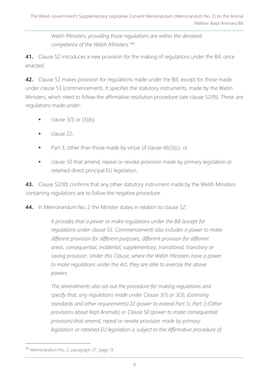*Welsh Ministers, providing those regulations are within the devolved competence of the Welsh Ministers." 20*

**41.** Clause 52 introduces a new provision for the making of regulations under the Bill, once enacted.

**42.** Clause 52 makes provision for regulations made under the Bill, except for those made under clause 53 (commencement). It specifies the statutory instruments, made by the Welsh Ministers, which need to follow the affirmative resolution procedure (see clause 52(9)). These are regulations made under:

- $\blacksquare$  clause 3(1) or (3)(b),
- clause 22,
- Part 3, other than those made by virtue of clause 46(3)(c), or
- **■** clause 50 that amend, repeal or revoke provision made by primary legislation or retained direct principal EU legislation.

**43.** Clause 52(10) confirms that any other statutory instrument made by the Welsh Ministers containing regulations are to follow the negative procedure.

**44.** In Memorandum No. 2 the Minister states in relation to clause 52:

*It provides that a power to make regulations under the Bill (except for regulations under clause 53: Commencement) also includes a power to make different provision for different purposes, different provision for different areas, consequential, incidental, supplementary, transitional, transitory or saving provision. Under this Clause, where the Welsh Ministers have a power to make regulations under the Act, they are able to exercise the above powers.*

*The amendments also set out the procedure for making regulations and specify that, any regulations made under Clause 3(1) or 3(3), (Licensing standards and other requirements) 22 (power to extend Part 1), Part 3 (Other provisions about Kept Animals) or Clause 50 (power to make consequential provision) that amend, repeal or revoke provision made by primary*  legislation or retained EU legislation is subject to the Affirmative procedure of

<sup>&</sup>lt;sup>20</sup> Memorandum No. 2, paragraph 27, page 13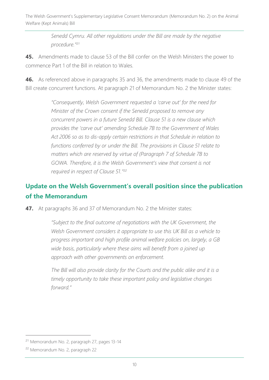> *Senedd Cymru. All other regulations under the Bill are made by the negative procedure."<sup>21</sup>*

**45.** Amendments made to clause 53 of the Bill confer on the Welsh Ministers the power to commence Part 1 of the Bill in relation to Wales.

**46.** As referenced above in paragraphs 35 and 36, the amendments made to clause 49 of the Bill create concurrent functions. At paragraph 21 of Memorandum No. 2 the Minister states:

> *"Consequently, Welsh Government requested a 'carve out' for the need for Minister of the Crown consent if the Senedd proposed to remove any concurrent powers in a future Senedd Bill. Clause 51 is a new clause which provides the 'carve out' amending Schedule 7B to the Government of Wales Act 2006 so as to dis-apply certain restrictions in that Schedule in relation to functions conferred by or under the Bill. The provisions in Clause 51 relate to matters which are reserved by virtue of (Paragraph 7 of Schedule 7B to GOWA. Therefore, it is the Welsh Government's view that consent is not required in respect of Clause 51." 22*

# **Update on the Welsh Government's overall position since the publication of the Memorandum**

**47.** At paragraphs 36 and 37 of Memorandum No. 2 the Minister states:

*"Subject to the final outcome of negotiations with the UK Government, the Welsh Government considers it appropriate to use this UK Bill as a vehicle to progress important and high profile animal welfare policies on, largely, a GB wide basis, particularly where these aims will benefit from a joined up approach with other governments on enforcement.*

*The Bill will also provide clarity for the Courts and the public alike and it is a timely opportunity to take these important policy and legislative changes forward."*

<sup>21</sup> Memorandum No. 2, paragraph 27, pages 13-14

<sup>22</sup> Memorandum No. 2, paragraph 22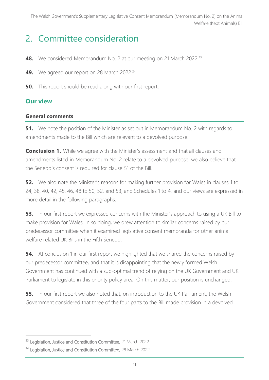# 2. Committee consideration

- **48.** We considered Memorandum No. 2 at our meeting on 21 March 2022.<sup>23</sup>
- **49.** We agreed our report on 28 March 2022.<sup>24</sup>
- **50.** This report should be read along with our first report.

#### **Our view**

#### **General comments**

**51.** We note the position of the Minister as set out in Memorandum No. 2 with regards to amendments made to the Bill which are relevant to a devolved purpose.

**Conclusion 1.** While we agree with the Minister's assessment and that all clauses and amendments listed in Memorandum No. 2 relate to a devolved purpose, we also believe that the Senedd's consent is required for clause 51 of the Bill.

**52.** We also note the Minister's reasons for making further provision for Wales in clauses 1 to 24, 38, 40, 42, 45, 46, 48 to 50, 52, and 53, and Schedules 1 to 4, and our views are expressed in more detail in the following paragraphs.

**53.** In our first report we expressed concerns with the Minister's approach to using a UK Bill to make provision for Wales. In so doing, we drew attention to similar concerns raised by our predecessor committee when it examined legislative consent memoranda for other animal welfare related UK Bills in the Fifth Senedd.

**54.** At conclusion 1 in our first report we highlighted that we shared the concerns raised by our predecessor committee, and that it is disappointing that the newly formed Welsh Government has continued with a sub-optimal trend of relying on the UK Government and UK Parliament to legislate in this priority policy area. On this matter, our position is unchanged.

**55.** In our first report we also noted that, on introduction to the UK Parliament, the Welsh Government considered that three of the four parts to the Bill made provision in a devolved

<sup>&</sup>lt;sup>23</sup> [Legislation, Justice and Constitution Committee,](https://business.senedd.wales/ieListDocuments.aspx?CId=725&MId=12647&Ver=4) 21 March 2022

<sup>&</sup>lt;sup>24</sup> [Legislation, Justice and Constitution Committee,](https://business.senedd.wales/ieListDocuments.aspx?CId=725&MId=12648&Ver=4) 28 March 2022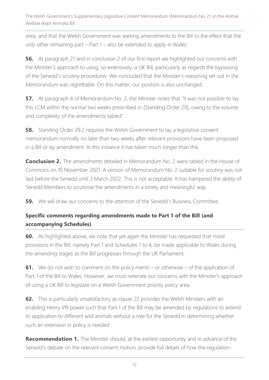area, and that the Welsh Government was seeking amendments to the Bill to the effect that the only other remaining part – Part 1 – also be extended to apply in Wales.

**56.** At paragraph 21 and in conclusion 2 of our first report we highlighted our concerns with the Minister's approach to using, so extensively, a UK Bill, particularly as regards the bypassing of the Senedd's scrutiny procedures. We concluded that the Minister's reasoning set out in the Memorandum was regrettable. On this matter, our position is also unchanged.

**57.** At paragraph 4 of Memorandum No. 2, the Minister notes that "it was not possible to lay this LCM within the normal two weeks prescribed in [Standing Order 29], owing to the volume and complexity of the amendments tabled".

**58.** Standing Order 29.2 requires the Welsh Government to lay a legislative consent memorandum normally no later than two weeks after relevant provisions have been proposed in a Bill or by amendment. In this instance it has taken much longer than this.

**Conclusion 2.** The amendments detailed in Memorandum No. 2 were tabled in the House of Commons on 10 November 2021. A version of Memorandum No. 2 suitable for scrutiny was not laid before the Senedd until 3 March 2022. This is not acceptable. It has hampered the ability of Senedd Members to scrutinise the amendments in a timely and meaningful way.

**59.** We will draw our concerns to the attention of the Senedd's Business Committee.

## **Specific comments regarding amendments made to Part 1 of the Bill (and accompanying Schedules)**

**60.** As highlighted above, we note that yet again the Minister has requested that more provisions in the Bill, namely Part 1 and Schedules 1 to 4, be made applicable to Wales during the amending stages as the Bill progresses through the UK Parliament.

**61.** We do not wish to comment on the policy merits – or otherwise – of the application of Part 1 of the Bill to Wales. However, we must reiterate our concerns with the Minister's approach of using a UK Bill to legislate on a Welsh Government priority policy area.

**62.** This is particularly unsatisfactory as clause 22 provides the Welsh Ministers with an enabling Henry VIII power such that Part 1 of the Bill may be amended by regulations to extend its application to different wild animals without a role for the Senedd in determining whether such an extension in policy is needed .

**Recommendation 1.** The Minister should, at the earliest opportunity and in advance of the Senedd's debate on the relevant consent motion, provide full details of how the regulation-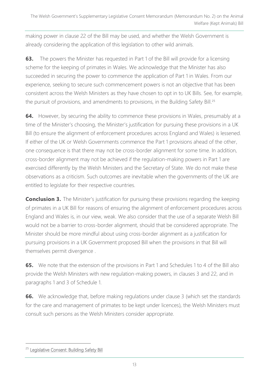making power in clause 22 of the Bill may be used, and whether the Welsh Government is already considering the application of this legislation to other wild animals.

**63.** The powers the Minister has requested in Part 1 of the Bill will provide for a licensing scheme for the keeping of primates in Wales. We acknowledge that the Minister has also succeeded in securing the power to commence the application of Part 1 in Wales. From our experience, seeking to secure such commencement powers is not an objective that has been consistent across the Welsh Ministers as they have chosen to opt in to UK Bills. See, for example, the pursuit of provisions, and amendments to provisions, in the Building Safety Bill.<sup>25</sup>

**64.** However, by securing the ability to commence these provisions in Wales, presumably at a time of the Minister's choosing, the Minister's justification for pursuing these provisions in a UK Bill (to ensure the alignment of enforcement procedures across England and Wales) is lessened. If either of the UK or Welsh Governments commence the Part 1 provisions ahead of the other, one consequence is that there may not be cross-border alignment for some time. In addition, cross-border alignment may not be achieved if the regulation-making powers in Part 1 are exercised differently by the Welsh Ministers and the Secretary of State. We do not make these observations as a criticism. Such outcomes are inevitable when the governments of the UK are entitled to legislate for their respective countries.

**Conclusion 3.** The Minister's justification for pursuing these provisions regarding the keeping of primates in a UK Bill for reasons of ensuring the alignment of enforcement procedures across England and Wales is, in our view, weak. We also consider that the use of a separate Welsh Bill would not be a barrier to cross-border alignment, should that be considered appropriate. The Minister should be more mindful about using cross-border alignment as a justification for pursuing provisions in a UK Government proposed Bill when the provisions in that Bill will themselves permit divergence .

**65.** We note that the extension of the provisions in Part 1 and Schedules 1 to 4 of the Bill also provide the Welsh Ministers with new regulation-making powers, in clauses 3 and 22, and in paragraphs 1 and 3 of Schedule 1.

**66.** We acknowledge that, before making regulations under clause 3 (which set the standards for the care and management of primates to be kept under licences), the Welsh Ministers must consult such persons as the Welsh Ministers consider appropriate.

<sup>&</sup>lt;sup>25</sup> [Legislative Consent: Building Safety Bill](https://business.senedd.wales/mgIssueHistoryHome.aspx?IId=37776)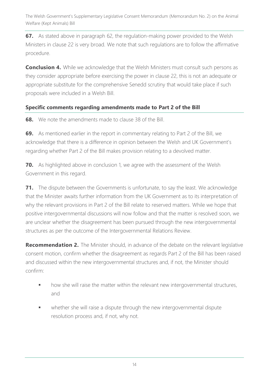**67.** As stated above in paragraph 62, the regulation-making power provided to the Welsh Ministers in clause 22 is very broad. We note that such regulations are to follow the affirmative procedure.

**Conclusion 4.** While we acknowledge that the Welsh Ministers must consult such persons as they consider appropriate before exercising the power in clause 22, this is not an adequate or appropriate substitute for the comprehensive Senedd scrutiny that would take place if such proposals were included in a Welsh Bill.

#### **Specific comments regarding amendments made to Part 2 of the Bill**

**68.** We note the amendments made to clause 38 of the Bill.

**69.** As mentioned earlier in the report in commentary relating to Part 2 of the Bill, we acknowledge that there is a difference in opinion between the Welsh and UK Government's regarding whether Part 2 of the Bill makes provision relating to a devolved matter.

**70.** As highlighted above in conclusion 1, we agree with the assessment of the Welsh Government in this regard.

**71.** The dispute between the Governments is unfortunate, to say the least. We acknowledge that the Minister awaits further information from the UK Government as to its interpretation of why the relevant provisions in Part 2 of the Bill relate to reserved matters. While we hope that positive intergovernmental discussions will now follow and that the matter is resolved soon, we are unclear whether the disagreement has been pursued through the new intergovernmental structures as per the outcome of the Intergovernmental Relations Review.

**Recommendation 2.** The Minister should, in advance of the debate on the relevant legislative consent motion, confirm whether the disagreement as regards Part 2 of the Bill has been raised and discussed within the new intergovernmental structures and, if not, the Minister should confirm:

- how she will raise the matter within the relevant new intergovernmental structures, and
- whether she will raise a dispute through the new intergovernmental dispute resolution process and, if not, why not.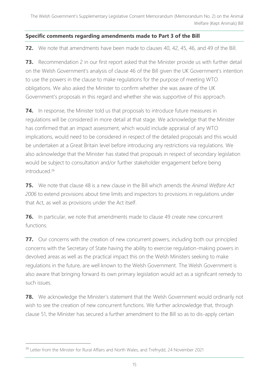#### **Specific comments regarding amendments made to Part 3 of the Bill**

**72.** We note that amendments have been made to clauses 40, 42, 45, 46, and 49 of the Bill.

**73.** Recommendation 2 in our first report asked that the Minister provide us with further detail on the Welsh Government's analysis of clause 46 of the Bill given the UK Government's intention to use the powers in the clause to make regulations for the purpose of meeting WTO obligations. We also asked the Minister to confirm whether she was aware of the UK Government's proposals in this regard and whether she was supportive of this approach.

**74.** In response, the Minister told us that proposals to introduce future measures in regulations will be considered in more detail at that stage. We acknowledge that the Minister has confirmed that an impact assessment, which would include appraisal of any WTO implications, would need to be considered in respect of the detailed proposals and this would be undertaken at a Great Britain level before introducing any restrictions via regulations. We also acknowledge that the Minister has stated that proposals in respect of secondary legislation would be subject to consultation and/or further stakeholder engagement before being introduced<sup>26</sup>

**75.** We note that clause 48 is a new clause in the Bill which amends the *Animal Welfare Act 2006* to extend provisions about time limits and inspectors to provisions in regulations under that Act, as well as provisions under the Act itself.

**76.** In particular, we note that amendments made to clause 49 create new concurrent functions.

**77.** Our concerns with the creation of new concurrent powers, including both our principled concerns with the Secretary of State having the ability to exercise regulation-making powers in devolved areas as well as the practical impact this on the Welsh Ministers seeking to make regulations in the future, are well known to the Welsh Government. The Welsh Government is also aware that bringing forward its own primary legislation would act as a significant remedy to such issues.

**78.** We acknowledge the Minister's statement that the Welsh Government would ordinarily not wish to see the creation of new concurrent functions. We further acknowledge that, through clause 51, the Minister has secured a further amendment to the Bill so as to dis-apply certain

<sup>&</sup>lt;sup>26</sup> Letter from the Minister for Rural Affairs and North Wales, and Trefnydd, 24 November 2021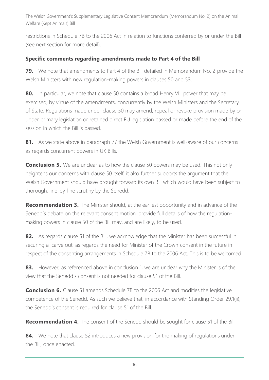restrictions in Schedule 7B to the 2006 Act in relation to functions conferred by or under the Bill (see next section for more detail).

#### **Specific comments regarding amendments made to Part 4 of the Bill**

**79.** We note that amendments to Part 4 of the Bill detailed in Memorandum No. 2 provide the Welsh Ministers with new regulation-making powers in clauses 50 and 53.

**80.** In particular, we note that clause 50 contains a broad Henry VIII power that may be exercised, by virtue of the amendments, concurrently by the Welsh Ministers and the Secretary of State. Regulations made under clause 50 may amend, repeal or revoke provision made by or under primary legislation or retained direct EU legislation passed or made before the end of the session in which the Bill is passed.

**81.** As we state above in paragraph 77 the Welsh Government is well-aware of our concerns as regards concurrent powers in UK Bills.

**Conclusion 5.** We are unclear as to how the clause 50 powers may be used. This not only heightens our concerns with clause 50 itself, it also further supports the argument that the Welsh Government should have brought forward its own Bill which would have been subject to thorough, line-by-line scrutiny by the Senedd.

**Recommendation 3.** The Minister should, at the earliest opportunity and in advance of the Senedd's debate on the relevant consent motion, provide full details of how the regulationmaking powers in clause 50 of the Bill may, and are likely, to be used.

82. As regards clause 51 of the Bill, we acknowledge that the Minister has been successful in securing a 'carve out' as regards the need for Minister of the Crown consent in the future in respect of the consenting arrangements in Schedule 7B to the 2006 Act. This is to be welcomed.

83. However, as referenced above in conclusion 1, we are unclear why the Minister is of the view that the Senedd's consent is not needed for clause 51 of the Bill.

**Conclusion 6.** Clause 51 amends Schedule 7B to the 2006 Act and modifies the legislative competence of the Senedd. As such we believe that, in accordance with Standing Order 29.1(ii), the Senedd's consent is required for clause 51 of the Bill.

**Recommendation 4.** The consent of the Senedd should be sought for clause 51 of the Bill.

**84.** We note that clause 52 introduces a new provision for the making of regulations under the Bill, once enacted.